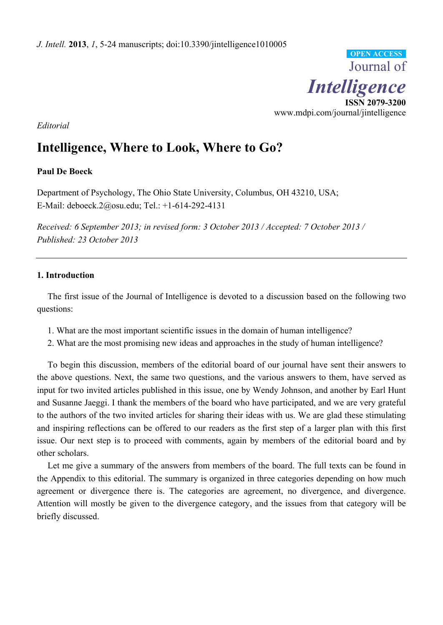

*Editorial*

# **Intelligence, Where to Look, Where to Go?**

# **Paul De Boeck**

Department of Psychology, The Ohio State University, Columbus, OH 43210, USA; E-Mail: deboeck.2@osu.edu; Tel.: +1-614-292-4131

*Received: 6 September 2013; in revised form: 3 October 2013 / Accepted: 7 October 2013 / Published: 23 October 2013*

## **1. Introduction**

The first issue of the Journal of Intelligence is devoted to a discussion based on the following two questions:

- 1. What are the most important scientific issues in the domain of human intelligence?
- 2. What are the most promising new ideas and approaches in the study of human intelligence?

To begin this discussion, members of the editorial board of our journal have sent their answers to the above questions. Next, the same two questions, and the various answers to them, have served as input for two invited articles published in this issue, one by Wendy Johnson, and another by Earl Hunt and Susanne Jaeggi. I thank the members of the board who have participated, and we are very grateful to the authors of the two invited articles for sharing their ideas with us. We are glad these stimulating and inspiring reflections can be offered to our readers as the first step of a larger plan with this first issue. Our next step is to proceed with comments, again by members of the editorial board and by other scholars.

Let me give a summary of the answers from members of the board. The full texts can be found in the Appendix to this editorial. The summary is organized in three categories depending on how much agreement or divergence there is. The categories are agreement, no divergence, and divergence. Attention will mostly be given to the divergence category, and the issues from that category will be briefly discussed.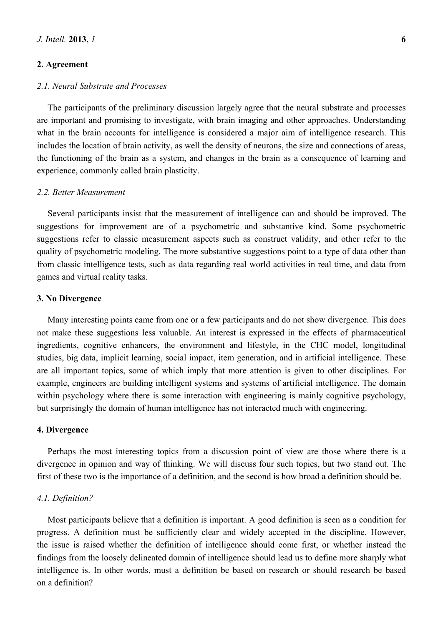## **2. Agreement**

## *2.1. Neural Substrate and Processes*

The participants of the preliminary discussion largely agree that the neural substrate and processes are important and promising to investigate, with brain imaging and other approaches. Understanding what in the brain accounts for intelligence is considered a major aim of intelligence research. This includes the location of brain activity, as well the density of neurons, the size and connections of areas, the functioning of the brain as a system, and changes in the brain as a consequence of learning and experience, commonly called brain plasticity.

## *2.2. Better Measurement*

Several participants insist that the measurement of intelligence can and should be improved. The suggestions for improvement are of a psychometric and substantive kind. Some psychometric suggestions refer to classic measurement aspects such as construct validity, and other refer to the quality of psychometric modeling. The more substantive suggestions point to a type of data other than from classic intelligence tests, such as data regarding real world activities in real time, and data from games and virtual reality tasks.

## **3. No Divergence**

Many interesting points came from one or a few participants and do not show divergence. This does not make these suggestions less valuable. An interest is expressed in the effects of pharmaceutical ingredients, cognitive enhancers, the environment and lifestyle, in the CHC model, longitudinal studies, big data, implicit learning, social impact, item generation, and in artificial intelligence. These are all important topics, some of which imply that more attention is given to other disciplines. For example, engineers are building intelligent systems and systems of artificial intelligence. The domain within psychology where there is some interaction with engineering is mainly cognitive psychology, but surprisingly the domain of human intelligence has not interacted much with engineering.

#### **4. Divergence**

Perhaps the most interesting topics from a discussion point of view are those where there is a divergence in opinion and way of thinking. We will discuss four such topics, but two stand out. The first of these two is the importance of a definition, and the second is how broad a definition should be.

#### *4.1. Definition?*

Most participants believe that a definition is important. A good definition is seen as a condition for progress. A definition must be sufficiently clear and widely accepted in the discipline. However, the issue is raised whether the definition of intelligence should come first, or whether instead the findings from the loosely delineated domain of intelligence should lead us to define more sharply what intelligence is. In other words, must a definition be based on research or should research be based on a definition?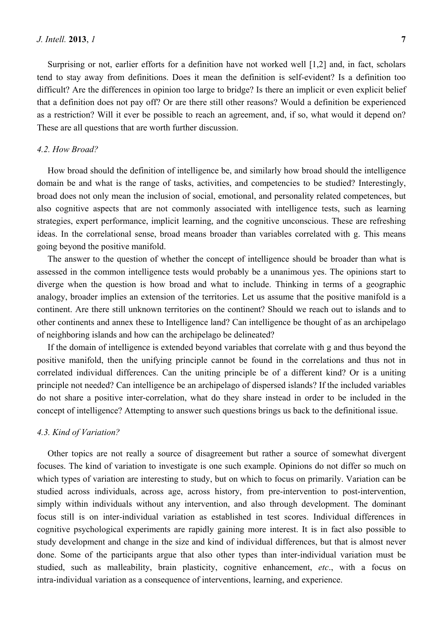Surprising or not, earlier efforts for a definition have not worked well [1,2] and, in fact, scholars tend to stay away from definitions. Does it mean the definition is self-evident? Is a definition too difficult? Are the differences in opinion too large to bridge? Is there an implicit or even explicit belief that a definition does not pay off? Or are there still other reasons? Would a definition be experienced as a restriction? Will it ever be possible to reach an agreement, and, if so, what would it depend on? These are all questions that are worth further discussion.

#### *4.2. How Broad?*

How broad should the definition of intelligence be, and similarly how broad should the intelligence domain be and what is the range of tasks, activities, and competencies to be studied? Interestingly, broad does not only mean the inclusion of social, emotional, and personality related competences, but also cognitive aspects that are not commonly associated with intelligence tests, such as learning strategies, expert performance, implicit learning, and the cognitive unconscious. These are refreshing ideas. In the correlational sense, broad means broader than variables correlated with g. This means going beyond the positive manifold.

The answer to the question of whether the concept of intelligence should be broader than what is assessed in the common intelligence tests would probably be a unanimous yes. The opinions start to diverge when the question is how broad and what to include. Thinking in terms of a geographic analogy, broader implies an extension of the territories. Let us assume that the positive manifold is a continent. Are there still unknown territories on the continent? Should we reach out to islands and to other continents and annex these to Intelligence land? Can intelligence be thought of as an archipelago of neighboring islands and how can the archipelago be delineated?

If the domain of intelligence is extended beyond variables that correlate with g and thus beyond the positive manifold, then the unifying principle cannot be found in the correlations and thus not in correlated individual differences. Can the uniting principle be of a different kind? Or is a uniting principle not needed? Can intelligence be an archipelago of dispersed islands? If the included variables do not share a positive inter-correlation, what do they share instead in order to be included in the concept of intelligence? Attempting to answer such questions brings us back to the definitional issue.

#### *4.3. Kind of Variation?*

Other topics are not really a source of disagreement but rather a source of somewhat divergent focuses. The kind of variation to investigate is one such example. Opinions do not differ so much on which types of variation are interesting to study, but on which to focus on primarily. Variation can be studied across individuals, across age, across history, from pre-intervention to post-intervention, simply within individuals without any intervention, and also through development. The dominant focus still is on inter-individual variation as established in test scores. Individual differences in cognitive psychological experiments are rapidly gaining more interest. It is in fact also possible to study development and change in the size and kind of individual differences, but that is almost never done. Some of the participants argue that also other types than inter-individual variation must be studied, such as malleability, brain plasticity, cognitive enhancement, *etc*., with a focus on intra-individual variation as a consequence of interventions, learning, and experience.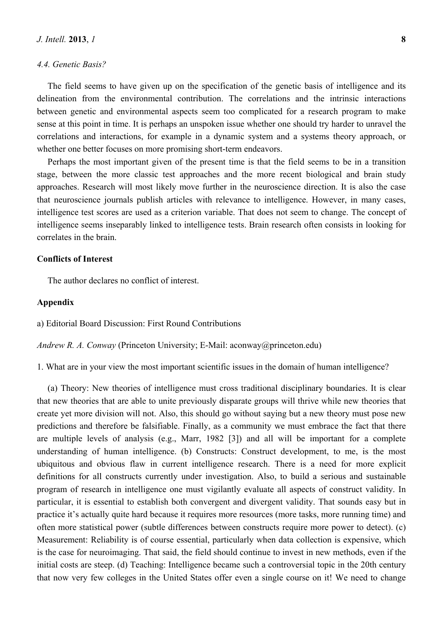#### *4.4. Genetic Basis?*

The field seems to have given up on the specification of the genetic basis of intelligence and its delineation from the environmental contribution. The correlations and the intrinsic interactions between genetic and environmental aspects seem too complicated for a research program to make sense at this point in time. It is perhaps an unspoken issue whether one should try harder to unravel the correlations and interactions, for example in a dynamic system and a systems theory approach, or whether one better focuses on more promising short-term endeavors.

Perhaps the most important given of the present time is that the field seems to be in a transition stage, between the more classic test approaches and the more recent biological and brain study approaches. Research will most likely move further in the neuroscience direction. It is also the case that neuroscience journals publish articles with relevance to intelligence. However, in many cases, intelligence test scores are used as a criterion variable. That does not seem to change. The concept of intelligence seems inseparably linked to intelligence tests. Brain research often consists in looking for correlates in the brain.

# **Conflicts of Interest**

The author declares no conflict of interest.

#### **Appendix**

a) Editorial Board Discussion: First Round Contributions

*Andrew R. A. Conway* (Princeton University; E-Mail: aconway@princeton.edu)

1. What are in your view the most important scientific issues in the domain of human intelligence?

(a) Theory: New theories of intelligence must cross traditional disciplinary boundaries. It is clear that new theories that are able to unite previously disparate groups will thrive while new theories that create yet more division will not. Also, this should go without saying but a new theory must pose new predictions and therefore be falsifiable. Finally, as a community we must embrace the fact that there are multiple levels of analysis (e.g., Marr, 1982 [3]) and all will be important for a complete understanding of human intelligence. (b) Constructs: Construct development, to me, is the most ubiquitous and obvious flaw in current intelligence research. There is a need for more explicit definitions for all constructs currently under investigation. Also, to build a serious and sustainable program of research in intelligence one must vigilantly evaluate all aspects of construct validity. In particular, it is essential to establish both convergent and divergent validity. That sounds easy but in practice it's actually quite hard because it requires more resources (more tasks, more running time) and often more statistical power (subtle differences between constructs require more power to detect). (c) Measurement: Reliability is of course essential, particularly when data collection is expensive, which is the case for neuroimaging. That said, the field should continue to invest in new methods, even if the initial costs are steep. (d) Teaching: Intelligence became such a controversial topic in the 20th century that now very few colleges in the United States offer even a single course on it! We need to change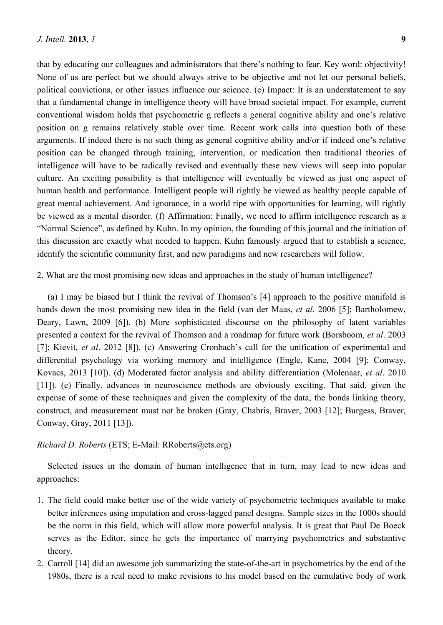that by educating our colleagues and administrators that there's nothing to fear. Key word: objectivity! None of us are perfect but we should always strive to be objective and not let our personal beliefs, political convictions, or other issues influence our science. (e) Impact: It is an understatement to say that a fundamental change in intelligence theory will have broad societal impact. For example, current conventional wisdom holds that psychometric g reflects a general cognitive ability and one's relative position on g remains relatively stable over time. Recent work calls into question both of these arguments. If indeed there is no such thing as general cognitive ability and/or if indeed one's relative position can be changed through training, intervention, or medication then traditional theories of intelligence will have to be radically revised and eventually these new views will seep into popular culture. An exciting possibility is that intelligence will eventually be viewed as just one aspect of human health and performance. Intelligent people will rightly be viewed as healthy people capable of great mental achievement. And ignorance, in a world ripe with opportunities for learning, will rightly be viewed as a mental disorder. (f) Affirmation: Finally, we need to affirm intelligence research as a "Normal Science", as defined by Kuhn. In my opinion, the founding of this journal and the initiation of this discussion are exactly what needed to happen. Kuhn famously argued that to establish a science, identify the scientific community first, and new paradigms and new researchers will follow.

2. What are the most promising new ideas and approaches in the study of human intelligence?

(a) I may be biased but I think the revival of Thomson's [4] approach to the positive manifold is hands down the most promising new idea in the field (van der Maas, *et al*. 2006 [5]; Bartholomew, Deary, Lawn, 2009 [6]). (b) More sophisticated discourse on the philosophy of latent variables presented a context for the revival of Thomson and a roadmap for future work (Borsboom, *et al*. 2003 [7]; Kievit, *et al*. 2012 [8]). (c) Answering Cronbach's call for the unification of experimental and differential psychology via working memory and intelligence (Engle, Kane, 2004 [9]; Conway, Kovacs, 2013 [10]). (d) Moderated factor analysis and ability differentiation (Molenaar, *et al*. 2010 [11]). (e) Finally, advances in neuroscience methods are obviously exciting. That said, given the expense of some of these techniques and given the complexity of the data, the bonds linking theory, construct, and measurement must not be broken (Gray, Chabris, Braver, 2003 [12]; Burgess, Braver, Conway, Gray, 2011 [13]).

# *Richard D. Roberts* (ETS; E-Mail: RRoberts@ets.org)

Selected issues in the domain of human intelligence that in turn, may lead to new ideas and approaches:

- 1. The field could make better use of the wide variety of psychometric techniques available to make better inferences using imputation and cross-lagged panel designs. Sample sizes in the 1000s should be the norm in this field, which will allow more powerful analysis. It is great that Paul De Boeck serves as the Editor, since he gets the importance of marrying psychometrics and substantive theory.
- 2. Carroll [14] did an awesome job summarizing the state-of-the-art in psychometrics by the end of the 1980s, there is a real need to make revisions to his model based on the cumulative body of work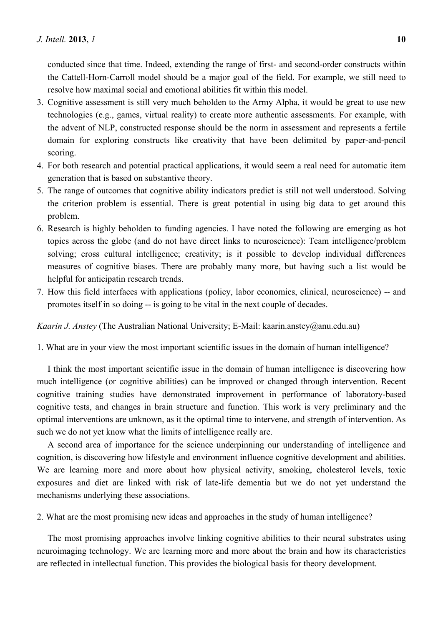conducted since that time. Indeed, extending the range of first- and second-order constructs within the Cattell-Horn-Carroll model should be a major goal of the field. For example, we still need to resolve how maximal social and emotional abilities fit within this model.

- 3. Cognitive assessment is still very much beholden to the Army Alpha, it would be great to use new technologies (e.g., games, virtual reality) to create more authentic assessments. For example, with the advent of NLP, constructed response should be the norm in assessment and represents a fertile domain for exploring constructs like creativity that have been delimited by paper-and-pencil scoring.
- 4. For both research and potential practical applications, it would seem a real need for automatic item generation that is based on substantive theory.
- 5. The range of outcomes that cognitive ability indicators predict is still not well understood. Solving the criterion problem is essential. There is great potential in using big data to get around this problem.
- 6. Research is highly beholden to funding agencies. I have noted the following are emerging as hot topics across the globe (and do not have direct links to neuroscience): Team intelligence/problem solving; cross cultural intelligence; creativity; is it possible to develop individual differences measures of cognitive biases. There are probably many more, but having such a list would be helpful for anticipatin research trends.
- 7. How this field interfaces with applications (policy, labor economics, clinical, neuroscience) -- and promotes itself in so doing -- is going to be vital in the next couple of decades.

*Kaarin J. Anstey* (The Australian National University; E-Mail: kaarin.anstey@anu.edu.au)

1. What are in your view the most important scientific issues in the domain of human intelligence?

I think the most important scientific issue in the domain of human intelligence is discovering how much intelligence (or cognitive abilities) can be improved or changed through intervention. Recent cognitive training studies have demonstrated improvement in performance of laboratory-based cognitive tests, and changes in brain structure and function. This work is very preliminary and the optimal interventions are unknown, as it the optimal time to intervene, and strength of intervention. As such we do not yet know what the limits of intelligence really are.

A second area of importance for the science underpinning our understanding of intelligence and cognition, is discovering how lifestyle and environment influence cognitive development and abilities. We are learning more and more about how physical activity, smoking, cholesterol levels, toxic exposures and diet are linked with risk of late-life dementia but we do not yet understand the mechanisms underlying these associations.

2. What are the most promising new ideas and approaches in the study of human intelligence?

The most promising approaches involve linking cognitive abilities to their neural substrates using neuroimaging technology. We are learning more and more about the brain and how its characteristics are reflected in intellectual function. This provides the biological basis for theory development.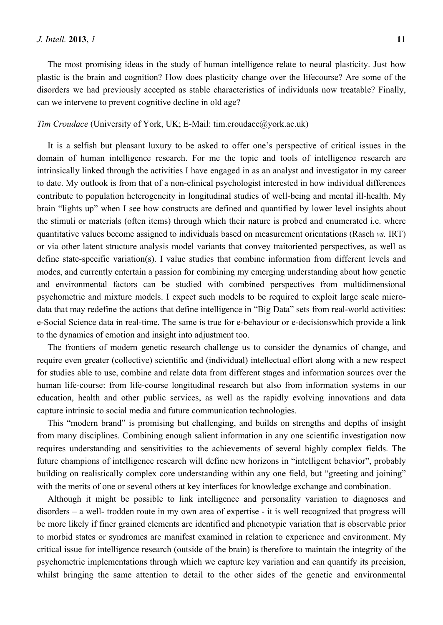The most promising ideas in the study of human intelligence relate to neural plasticity. Just how plastic is the brain and cognition? How does plasticity change over the lifecourse? Are some of the disorders we had previously accepted as stable characteristics of individuals now treatable? Finally, can we intervene to prevent cognitive decline in old age?

#### *Tim Croudace* (University of York, UK; E-Mail: tim.croudace@york.ac.uk)

It is a selfish but pleasant luxury to be asked to offer one's perspective of critical issues in the domain of human intelligence research. For me the topic and tools of intelligence research are intrinsically linked through the activities I have engaged in as an analyst and investigator in my career to date. My outlook is from that of a non-clinical psychologist interested in how individual differences contribute to population heterogeneity in longitudinal studies of well-being and mental ill-health. My brain "lights up" when I see how constructs are defined and quantified by lower level insights about the stimuli or materials (often items) through which their nature is probed and enumerated i.e. where quantitative values become assigned to individuals based on measurement orientations (Rasch *vs.* IRT) or via other latent structure analysis model variants that convey traitoriented perspectives, as well as define state-specific variation(s). I value studies that combine information from different levels and modes, and currently entertain a passion for combining my emerging understanding about how genetic and environmental factors can be studied with combined perspectives from multidimensional psychometric and mixture models. I expect such models to be required to exploit large scale microdata that may redefine the actions that define intelligence in "Big Data" sets from real-world activities: e-Social Science data in real-time. The same is true for e-behaviour or e-decisionswhich provide a link to the dynamics of emotion and insight into adjustment too.

The frontiers of modern genetic research challenge us to consider the dynamics of change, and require even greater (collective) scientific and (individual) intellectual effort along with a new respect for studies able to use, combine and relate data from different stages and information sources over the human life-course: from life-course longitudinal research but also from information systems in our education, health and other public services, as well as the rapidly evolving innovations and data capture intrinsic to social media and future communication technologies.

This "modern brand" is promising but challenging, and builds on strengths and depths of insight from many disciplines. Combining enough salient information in any one scientific investigation now requires understanding and sensitivities to the achievements of several highly complex fields. The future champions of intelligence research will define new horizons in "intelligent behavior", probably building on realistically complex core understanding within any one field, but "greeting and joining" with the merits of one or several others at key interfaces for knowledge exchange and combination.

Although it might be possible to link intelligence and personality variation to diagnoses and disorders – a well- trodden route in my own area of expertise - it is well recognized that progress will be more likely if finer grained elements are identified and phenotypic variation that is observable prior to morbid states or syndromes are manifest examined in relation to experience and environment. My critical issue for intelligence research (outside of the brain) is therefore to maintain the integrity of the psychometric implementations through which we capture key variation and can quantify its precision, whilst bringing the same attention to detail to the other sides of the genetic and environmental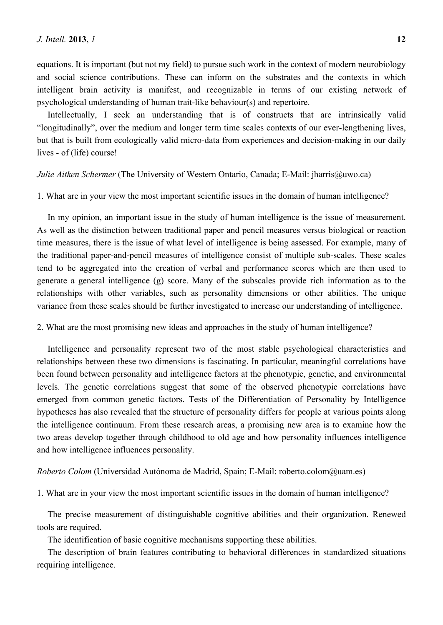Intellectually, I seek an understanding that is of constructs that are intrinsically valid "longitudinally", over the medium and longer term time scales contexts of our ever-lengthening lives, but that is built from ecologically valid micro-data from experiences and decision-making in our daily lives - of (life) course!

#### *Julie Aitken Schermer* (The University of Western Ontario, Canada; E-Mail: jharris@uwo.ca)

1. What are in your view the most important scientific issues in the domain of human intelligence?

In my opinion, an important issue in the study of human intelligence is the issue of measurement. As well as the distinction between traditional paper and pencil measures versus biological or reaction time measures, there is the issue of what level of intelligence is being assessed. For example, many of the traditional paper-and-pencil measures of intelligence consist of multiple sub-scales. These scales tend to be aggregated into the creation of verbal and performance scores which are then used to generate a general intelligence (g) score. Many of the subscales provide rich information as to the relationships with other variables, such as personality dimensions or other abilities. The unique variance from these scales should be further investigated to increase our understanding of intelligence.

2. What are the most promising new ideas and approaches in the study of human intelligence?

Intelligence and personality represent two of the most stable psychological characteristics and relationships between these two dimensions is fascinating. In particular, meaningful correlations have been found between personality and intelligence factors at the phenotypic, genetic, and environmental levels. The genetic correlations suggest that some of the observed phenotypic correlations have emerged from common genetic factors. Tests of the Differentiation of Personality by Intelligence hypotheses has also revealed that the structure of personality differs for people at various points along the intelligence continuum. From these research areas, a promising new area is to examine how the two areas develop together through childhood to old age and how personality influences intelligence and how intelligence influences personality.

#### *Roberto Colom* (Universidad Autónoma de Madrid, Spain; E-Mail: roberto.colom@uam.es)

1. What are in your view the most important scientific issues in the domain of human intelligence?

The precise measurement of distinguishable cognitive abilities and their organization. Renewed tools are required.

The identification of basic cognitive mechanisms supporting these abilities.

The description of brain features contributing to behavioral differences in standardized situations requiring intelligence.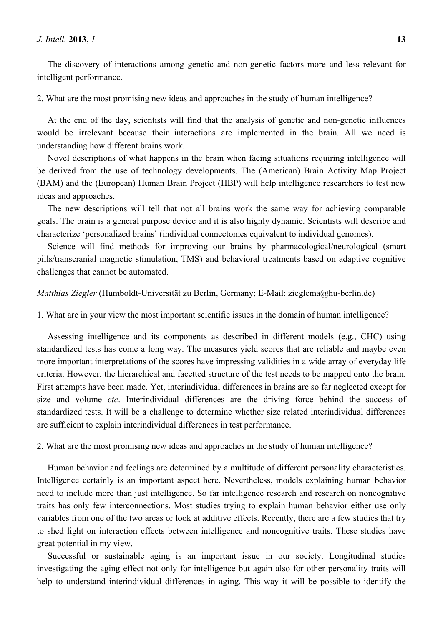The discovery of interactions among genetic and non-genetic factors more and less relevant for intelligent performance.

2. What are the most promising new ideas and approaches in the study of human intelligence?

At the end of the day, scientists will find that the analysis of genetic and non-genetic influences would be irrelevant because their interactions are implemented in the brain. All we need is understanding how different brains work.

Novel descriptions of what happens in the brain when facing situations requiring intelligence will be derived from the use of technology developments. The (American) Brain Activity Map Project (BAM) and the (European) Human Brain Project (HBP) will help intelligence researchers to test new ideas and approaches.

The new descriptions will tell that not all brains work the same way for achieving comparable goals. The brain is a general purpose device and it is also highly dynamic. Scientists will describe and characterize ʻpersonalized brains' (individual connectomes equivalent to individual genomes).

Science will find methods for improving our brains by pharmacological/neurological (smart pills/transcranial magnetic stimulation, TMS) and behavioral treatments based on adaptive cognitive challenges that cannot be automated.

#### *Matthias Ziegler* (Humboldt-Universität zu Berlin, Germany; E-Mail: zieglema@hu-berlin.de)

1. What are in your view the most important scientific issues in the domain of human intelligence?

Assessing intelligence and its components as described in different models (e.g., CHC) using standardized tests has come a long way. The measures yield scores that are reliable and maybe even more important interpretations of the scores have impressing validities in a wide array of everyday life criteria. However, the hierarchical and facetted structure of the test needs to be mapped onto the brain. First attempts have been made. Yet, interindividual differences in brains are so far neglected except for size and volume *etc*. Interindividual differences are the driving force behind the success of standardized tests. It will be a challenge to determine whether size related interindividual differences are sufficient to explain interindividual differences in test performance.

#### 2. What are the most promising new ideas and approaches in the study of human intelligence?

Human behavior and feelings are determined by a multitude of different personality characteristics. Intelligence certainly is an important aspect here. Nevertheless, models explaining human behavior need to include more than just intelligence. So far intelligence research and research on noncognitive traits has only few interconnections. Most studies trying to explain human behavior either use only variables from one of the two areas or look at additive effects. Recently, there are a few studies that try to shed light on interaction effects between intelligence and noncognitive traits. These studies have great potential in my view.

Successful or sustainable aging is an important issue in our society. Longitudinal studies investigating the aging effect not only for intelligence but again also for other personality traits will help to understand interindividual differences in aging. This way it will be possible to identify the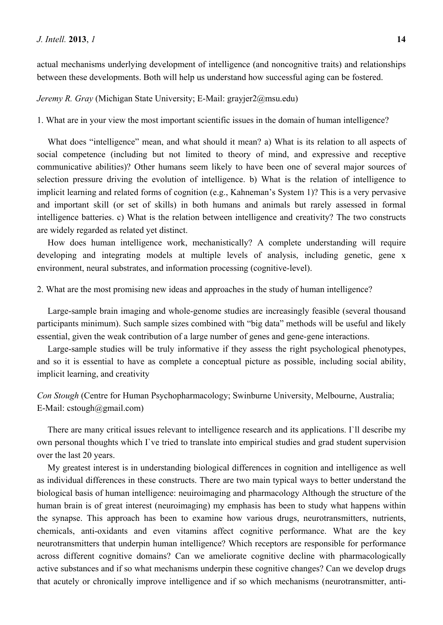actual mechanisms underlying development of intelligence (and noncognitive traits) and relationships between these developments. Both will help us understand how successful aging can be fostered.

*Jeremy R. Gray* (Michigan State University; E-Mail: grayjer2@msu.edu)

1. What are in your view the most important scientific issues in the domain of human intelligence?

What does "intelligence" mean, and what should it mean? a) What is its relation to all aspects of social competence (including but not limited to theory of mind, and expressive and receptive communicative abilities)? Other humans seem likely to have been one of several major sources of selection pressure driving the evolution of intelligence. b) What is the relation of intelligence to implicit learning and related forms of cognition (e.g., Kahneman's System 1)? This is a very pervasive and important skill (or set of skills) in both humans and animals but rarely assessed in formal intelligence batteries. c) What is the relation between intelligence and creativity? The two constructs are widely regarded as related yet distinct.

How does human intelligence work, mechanistically? A complete understanding will require developing and integrating models at multiple levels of analysis, including genetic, gene x environment, neural substrates, and information processing (cognitive-level).

2. What are the most promising new ideas and approaches in the study of human intelligence?

Large-sample brain imaging and whole-genome studies are increasingly feasible (several thousand participants minimum). Such sample sizes combined with "big data" methods will be useful and likely essential, given the weak contribution of a large number of genes and gene-gene interactions.

Large-sample studies will be truly informative if they assess the right psychological phenotypes, and so it is essential to have as complete a conceptual picture as possible, including social ability, implicit learning, and creativity

*Con Stough* (Centre for Human Psychopharmacology; Swinburne University, Melbourne, Australia; E-Mail: cstough@gmail.com)

There are many critical issues relevant to intelligence research and its applications. I`ll describe my own personal thoughts which I`ve tried to translate into empirical studies and grad student supervision over the last 20 years.

My greatest interest is in understanding biological differences in cognition and intelligence as well as individual differences in these constructs. There are two main typical ways to better understand the biological basis of human intelligence: neuiroimaging and pharmacology Although the structure of the human brain is of great interest (neuroimaging) my emphasis has been to study what happens within the synapse. This approach has been to examine how various drugs, neurotransmitters, nutrients, chemicals, anti-oxidants and even vitamins affect cognitive performance. What are the key neurotransmitters that underpin human intelligence? Which receptors are responsible for performance across different cognitive domains? Can we ameliorate cognitive decline with pharmacologically active substances and if so what mechanisms underpin these cognitive changes? Can we develop drugs that acutely or chronically improve intelligence and if so which mechanisms (neurotransmitter, anti-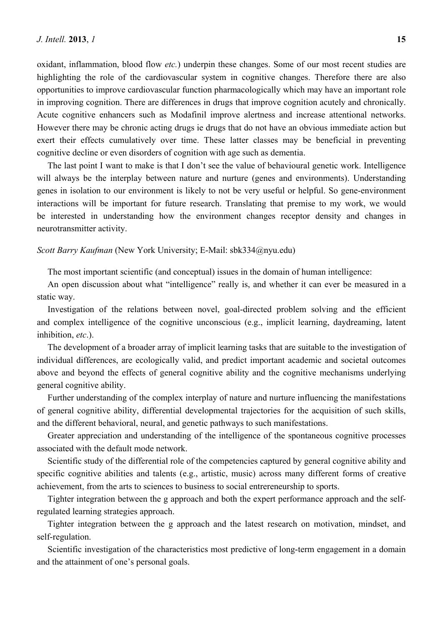oxidant, inflammation, blood flow *etc.*) underpin these changes. Some of our most recent studies are highlighting the role of the cardiovascular system in cognitive changes. Therefore there are also opportunities to improve cardiovascular function pharmacologically which may have an important role in improving cognition. There are differences in drugs that improve cognition acutely and chronically. Acute cognitive enhancers such as Modafinil improve alertness and increase attentional networks. However there may be chronic acting drugs ie drugs that do not have an obvious immediate action but exert their effects cumulatively over time. These latter classes may be beneficial in preventing cognitive decline or even disorders of cognition with age such as dementia.

The last point I want to make is that I don't see the value of behavioural genetic work. Intelligence will always be the interplay between nature and nurture (genes and environments). Understanding genes in isolation to our environment is likely to not be very useful or helpful. So gene-environment interactions will be important for future research. Translating that premise to my work, we would be interested in understanding how the environment changes receptor density and changes in neurotransmitter activity.

*Scott Barry Kaufman* (New York University; E-Mail: sbk334@nyu.edu)

The most important scientific (and conceptual) issues in the domain of human intelligence:

An open discussion about what "intelligence" really is, and whether it can ever be measured in a static way.

Investigation of the relations between novel, goal-directed problem solving and the efficient and complex intelligence of the cognitive unconscious (e.g., implicit learning, daydreaming, latent inhibition, *etc*.).

The development of a broader array of implicit learning tasks that are suitable to the investigation of individual differences, are ecologically valid, and predict important academic and societal outcomes above and beyond the effects of general cognitive ability and the cognitive mechanisms underlying general cognitive ability.

Further understanding of the complex interplay of nature and nurture influencing the manifestations of general cognitive ability, differential developmental trajectories for the acquisition of such skills, and the different behavioral, neural, and genetic pathways to such manifestations.

Greater appreciation and understanding of the intelligence of the spontaneous cognitive processes associated with the default mode network.

Scientific study of the differential role of the competencies captured by general cognitive ability and specific cognitive abilities and talents (e.g., artistic, music) across many different forms of creative achievement, from the arts to sciences to business to social entrereneurship to sports.

Tighter integration between the g approach and both the expert performance approach and the selfregulated learning strategies approach.

Tighter integration between the g approach and the latest research on motivation, mindset, and self-regulation.

Scientific investigation of the characteristics most predictive of long-term engagement in a domain and the attainment of one's personal goals.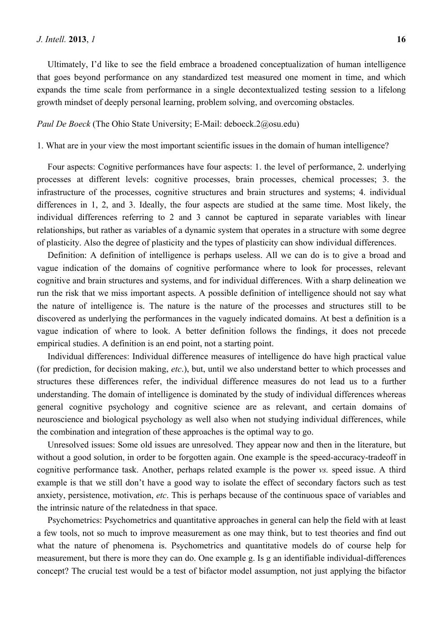Ultimately, I'd like to see the field embrace a broadened conceptualization of human intelligence that goes beyond performance on any standardized test measured one moment in time, and which expands the time scale from performance in a single decontextualized testing session to a lifelong growth mindset of deeply personal learning, problem solving, and overcoming obstacles.

#### *Paul De Boeck* (The Ohio State University; E-Mail: deboeck.2@osu.edu)

1. What are in your view the most important scientific issues in the domain of human intelligence?

Four aspects: Cognitive performances have four aspects: 1. the level of performance, 2. underlying processes at different levels: cognitive processes, brain processes, chemical processes; 3. the infrastructure of the processes, cognitive structures and brain structures and systems; 4. individual differences in 1, 2, and 3. Ideally, the four aspects are studied at the same time. Most likely, the individual differences referring to 2 and 3 cannot be captured in separate variables with linear relationships, but rather as variables of a dynamic system that operates in a structure with some degree of plasticity. Also the degree of plasticity and the types of plasticity can show individual differences.

Definition: A definition of intelligence is perhaps useless. All we can do is to give a broad and vague indication of the domains of cognitive performance where to look for processes, relevant cognitive and brain structures and systems, and for individual differences. With a sharp delineation we run the risk that we miss important aspects. A possible definition of intelligence should not say what the nature of intelligence is. The nature is the nature of the processes and structures still to be discovered as underlying the performances in the vaguely indicated domains. At best a definition is a vague indication of where to look. A better definition follows the findings, it does not precede empirical studies. A definition is an end point, not a starting point.

Individual differences: Individual difference measures of intelligence do have high practical value (for prediction, for decision making, *etc*.), but, until we also understand better to which processes and structures these differences refer, the individual difference measures do not lead us to a further understanding. The domain of intelligence is dominated by the study of individual differences whereas general cognitive psychology and cognitive science are as relevant, and certain domains of neuroscience and biological psychology as well also when not studying individual differences, while the combination and integration of these approaches is the optimal way to go.

Unresolved issues: Some old issues are unresolved. They appear now and then in the literature, but without a good solution, in order to be forgotten again. One example is the speed-accuracy-tradeoff in cognitive performance task. Another, perhaps related example is the power *vs.* speed issue. A third example is that we still don't have a good way to isolate the effect of secondary factors such as test anxiety, persistence, motivation, *etc*. This is perhaps because of the continuous space of variables and the intrinsic nature of the relatedness in that space.

Psychometrics: Psychometrics and quantitative approaches in general can help the field with at least a few tools, not so much to improve measurement as one may think, but to test theories and find out what the nature of phenomena is. Psychometrics and quantitative models do of course help for measurement, but there is more they can do. One example g. Is g an identifiable individual-differences concept? The crucial test would be a test of bifactor model assumption, not just applying the bifactor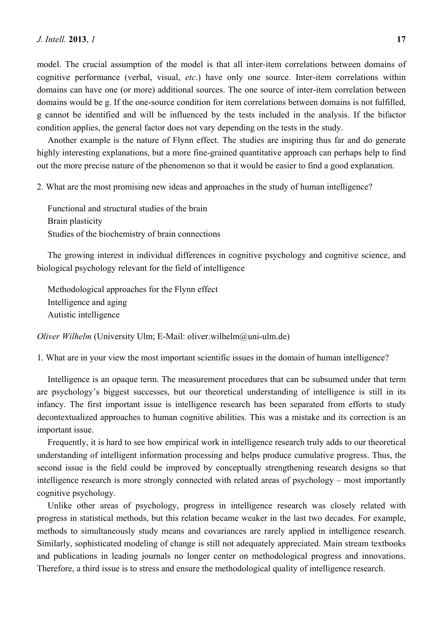model. The crucial assumption of the model is that all inter-item correlations between domains of cognitive performance (verbal, visual, *etc*.) have only one source. Inter-item correlations within domains can have one (or more) additional sources. The one source of inter-item correlation between domains would be g. If the one-source condition for item correlations between domains is not fulfilled, g cannot be identified and will be influenced by the tests included in the analysis. If the bifactor condition applies, the general factor does not vary depending on the tests in the study.

Another example is the nature of Flynn effect. The studies are inspiring thus far and do generate highly interesting explanations, but a more fine-grained quantitative approach can perhaps help to find out the more precise nature of the phenomenon so that it would be easier to find a good explanation.

2. What are the most promising new ideas and approaches in the study of human intelligence?

Functional and structural studies of the brain Brain plasticity Studies of the biochemistry of brain connections

The growing interest in individual differences in cognitive psychology and cognitive science, and biological psychology relevant for the field of intelligence

Methodological approaches for the Flynn effect Intelligence and aging Autistic intelligence

*Oliver Wilhelm* (University Ulm; E-Mail: oliver.wilhelm@uni-ulm.de)

1. What are in your view the most important scientific issues in the domain of human intelligence?

Intelligence is an opaque term. The measurement procedures that can be subsumed under that term are psychology's biggest successes, but our theoretical understanding of intelligence is still in its infancy. The first important issue is intelligence research has been separated from efforts to study decontextualized approaches to human cognitive abilities. This was a mistake and its correction is an important issue.

Frequently, it is hard to see how empirical work in intelligence research truly adds to our theoretical understanding of intelligent information processing and helps produce cumulative progress. Thus, the second issue is the field could be improved by conceptually strengthening research designs so that intelligence research is more strongly connected with related areas of psychology – most importantly cognitive psychology.

Unlike other areas of psychology, progress in intelligence research was closely related with progress in statistical methods, but this relation became weaker in the last two decades. For example, methods to simultaneously study means and covariances are rarely applied in intelligence research. Similarly, sophisticated modeling of change is still not adequately appreciated. Main stream textbooks and publications in leading journals no longer center on methodological progress and innovations. Therefore, a third issue is to stress and ensure the methodological quality of intelligence research.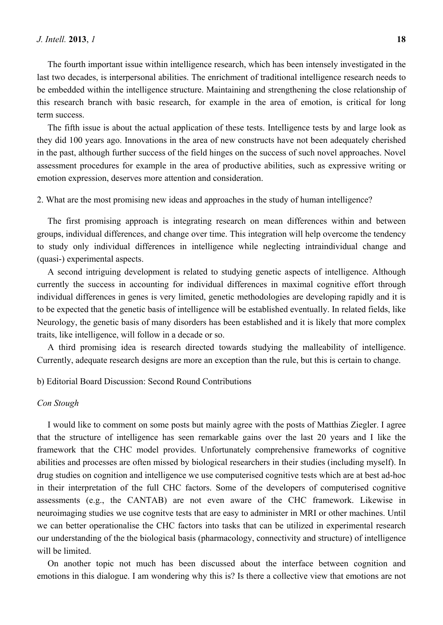The fourth important issue within intelligence research, which has been intensely investigated in the last two decades, is interpersonal abilities. The enrichment of traditional intelligence research needs to be embedded within the intelligence structure. Maintaining and strengthening the close relationship of this research branch with basic research, for example in the area of emotion, is critical for long term success.

The fifth issue is about the actual application of these tests. Intelligence tests by and large look as they did 100 years ago. Innovations in the area of new constructs have not been adequately cherished in the past, although further success of the field hinges on the success of such novel approaches. Novel assessment procedures for example in the area of productive abilities, such as expressive writing or emotion expression, deserves more attention and consideration.

#### 2. What are the most promising new ideas and approaches in the study of human intelligence?

The first promising approach is integrating research on mean differences within and between groups, individual differences, and change over time. This integration will help overcome the tendency to study only individual differences in intelligence while neglecting intraindividual change and (quasi-) experimental aspects.

A second intriguing development is related to studying genetic aspects of intelligence. Although currently the success in accounting for individual differences in maximal cognitive effort through individual differences in genes is very limited, genetic methodologies are developing rapidly and it is to be expected that the genetic basis of intelligence will be established eventually. In related fields, like Neurology, the genetic basis of many disorders has been established and it is likely that more complex traits, like intelligence, will follow in a decade or so.

A third promising idea is research directed towards studying the malleability of intelligence. Currently, adequate research designs are more an exception than the rule, but this is certain to change.

#### b) Editorial Board Discussion: Second Round Contributions

#### *Con Stough*

I would like to comment on some posts but mainly agree with the posts of Matthias Ziegler. I agree that the structure of intelligence has seen remarkable gains over the last 20 years and I like the framework that the CHC model provides. Unfortunately comprehensive frameworks of cognitive abilities and processes are often missed by biological researchers in their studies (including myself). In drug studies on cognition and intelligence we use computerised cognitive tests which are at best ad-hoc in their interpretation of the full CHC factors. Some of the developers of computerised cognitive assessments (e.g., the CANTAB) are not even aware of the CHC framework. Likewise in neuroimaging studies we use cognitve tests that are easy to administer in MRI or other machines. Until we can better operationalise the CHC factors into tasks that can be utilized in experimental research our understanding of the the biological basis (pharmacology, connectivity and structure) of intelligence will be limited.

On another topic not much has been discussed about the interface between cognition and emotions in this dialogue. I am wondering why this is? Is there a collective view that emotions are not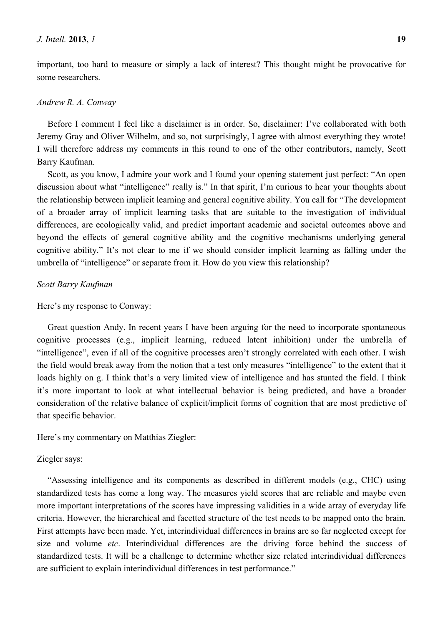important, too hard to measure or simply a lack of interest? This thought might be provocative for some researchers.

#### *Andrew R. A. Conway*

Before I comment I feel like a disclaimer is in order. So, disclaimer: I've collaborated with both Jeremy Gray and Oliver Wilhelm, and so, not surprisingly, I agree with almost everything they wrote! I will therefore address my comments in this round to one of the other contributors, namely, Scott Barry Kaufman.

Scott, as you know, I admire your work and I found your opening statement just perfect: "An open discussion about what "intelligence" really is." In that spirit, I'm curious to hear your thoughts about the relationship between implicit learning and general cognitive ability. You call for "The development of a broader array of implicit learning tasks that are suitable to the investigation of individual differences, are ecologically valid, and predict important academic and societal outcomes above and beyond the effects of general cognitive ability and the cognitive mechanisms underlying general cognitive ability." It's not clear to me if we should consider implicit learning as falling under the umbrella of "intelligence" or separate from it. How do you view this relationship?

### *Scott Barry Kaufman*

#### Here's my response to Conway:

Great question Andy. In recent years I have been arguing for the need to incorporate spontaneous cognitive processes (e.g., implicit learning, reduced latent inhibition) under the umbrella of "intelligence", even if all of the cognitive processes aren't strongly correlated with each other. I wish the field would break away from the notion that a test only measures "intelligence" to the extent that it loads highly on g. I think that's a very limited view of intelligence and has stunted the field. I think it's more important to look at what intellectual behavior is being predicted, and have a broader consideration of the relative balance of explicit/implicit forms of cognition that are most predictive of that specific behavior.

Here's my commentary on Matthias Ziegler:

## Ziegler says:

"Assessing intelligence and its components as described in different models (e.g., CHC) using standardized tests has come a long way. The measures yield scores that are reliable and maybe even more important interpretations of the scores have impressing validities in a wide array of everyday life criteria. However, the hierarchical and facetted structure of the test needs to be mapped onto the brain. First attempts have been made. Yet, interindividual differences in brains are so far neglected except for size and volume *etc*. Interindividual differences are the driving force behind the success of standardized tests. It will be a challenge to determine whether size related interindividual differences are sufficient to explain interindividual differences in test performance."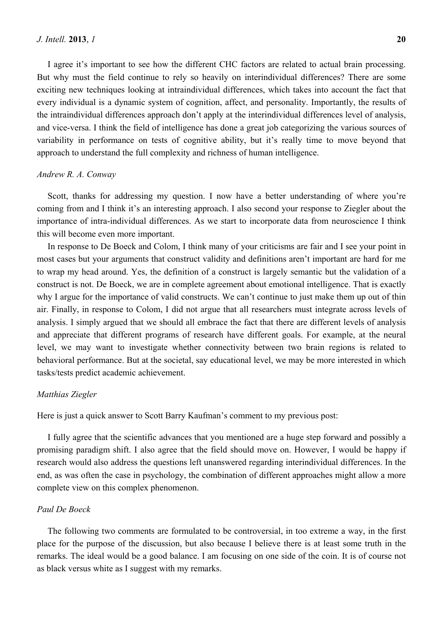I agree it's important to see how the different CHC factors are related to actual brain processing. But why must the field continue to rely so heavily on interindividual differences? There are some exciting new techniques looking at intraindividual differences, which takes into account the fact that every individual is a dynamic system of cognition, affect, and personality. Importantly, the results of the intraindividual differences approach don't apply at the interindividual differences level of analysis, and vice-versa. I think the field of intelligence has done a great job categorizing the various sources of variability in performance on tests of cognitive ability, but it's really time to move beyond that approach to understand the full complexity and richness of human intelligence.

#### *Andrew R. A. Conway*

Scott, thanks for addressing my question. I now have a better understanding of where you're coming from and I think it's an interesting approach. I also second your response to Ziegler about the importance of intra-individual differences. As we start to incorporate data from neuroscience I think this will become even more important.

In response to De Boeck and Colom, I think many of your criticisms are fair and I see your point in most cases but your arguments that construct validity and definitions aren't important are hard for me to wrap my head around. Yes, the definition of a construct is largely semantic but the validation of a construct is not. De Boeck, we are in complete agreement about emotional intelligence. That is exactly why I argue for the importance of valid constructs. We can't continue to just make them up out of thin air. Finally, in response to Colom, I did not argue that all researchers must integrate across levels of analysis. I simply argued that we should all embrace the fact that there are different levels of analysis and appreciate that different programs of research have different goals. For example, at the neural level, we may want to investigate whether connectivity between two brain regions is related to behavioral performance. But at the societal, say educational level, we may be more interested in which tasks/tests predict academic achievement.

#### *Matthias Ziegler*

Here is just a quick answer to Scott Barry Kaufman's comment to my previous post:

I fully agree that the scientific advances that you mentioned are a huge step forward and possibly a promising paradigm shift. I also agree that the field should move on. However, I would be happy if research would also address the questions left unanswered regarding interindividual differences. In the end, as was often the case in psychology, the combination of different approaches might allow a more complete view on this complex phenomenon.

# *Paul De Boeck*

The following two comments are formulated to be controversial, in too extreme a way, in the first place for the purpose of the discussion, but also because I believe there is at least some truth in the remarks. The ideal would be a good balance. I am focusing on one side of the coin. It is of course not as black versus white as I suggest with my remarks.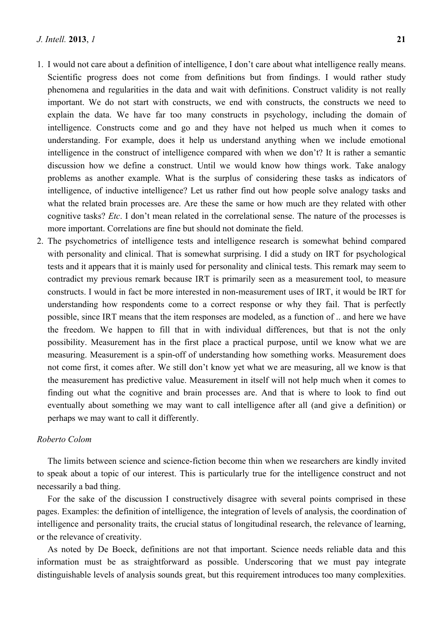- 1. I would not care about a definition of intelligence, I don't care about what intelligence really means. Scientific progress does not come from definitions but from findings. I would rather study phenomena and regularities in the data and wait with definitions. Construct validity is not really important. We do not start with constructs, we end with constructs, the constructs we need to explain the data. We have far too many constructs in psychology, including the domain of intelligence. Constructs come and go and they have not helped us much when it comes to understanding. For example, does it help us understand anything when we include emotional intelligence in the construct of intelligence compared with when we don't? It is rather a semantic discussion how we define a construct. Until we would know how things work. Take analogy problems as another example. What is the surplus of considering these tasks as indicators of intelligence, of inductive intelligence? Let us rather find out how people solve analogy tasks and what the related brain processes are. Are these the same or how much are they related with other cognitive tasks? *Etc*. I don't mean related in the correlational sense. The nature of the processes is more important. Correlations are fine but should not dominate the field.
- 2. The psychometrics of intelligence tests and intelligence research is somewhat behind compared with personality and clinical. That is somewhat surprising. I did a study on IRT for psychological tests and it appears that it is mainly used for personality and clinical tests. This remark may seem to contradict my previous remark because IRT is primarily seen as a measurement tool, to measure constructs. I would in fact be more interested in non-measurement uses of IRT, it would be IRT for understanding how respondents come to a correct response or why they fail. That is perfectly possible, since IRT means that the item responses are modeled, as a function of .. and here we have the freedom. We happen to fill that in with individual differences, but that is not the only possibility. Measurement has in the first place a practical purpose, until we know what we are measuring. Measurement is a spin-off of understanding how something works. Measurement does not come first, it comes after. We still don't know yet what we are measuring, all we know is that the measurement has predictive value. Measurement in itself will not help much when it comes to finding out what the cognitive and brain processes are. And that is where to look to find out eventually about something we may want to call intelligence after all (and give a definition) or perhaps we may want to call it differently.

## *Roberto Colom*

The limits between science and science-fiction become thin when we researchers are kindly invited to speak about a topic of our interest. This is particularly true for the intelligence construct and not necessarily a bad thing.

For the sake of the discussion I constructively disagree with several points comprised in these pages. Examples: the definition of intelligence, the integration of levels of analysis, the coordination of intelligence and personality traits, the crucial status of longitudinal research, the relevance of learning, or the relevance of creativity.

As noted by De Boeck, definitions are not that important. Science needs reliable data and this information must be as straightforward as possible. Underscoring that we must pay integrate distinguishable levels of analysis sounds great, but this requirement introduces too many complexities.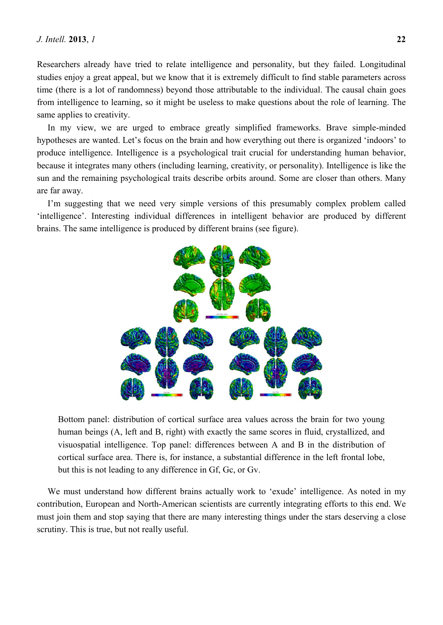Researchers already have tried to relate intelligence and personality, but they failed. Longitudinal studies enjoy a great appeal, but we know that it is extremely difficult to find stable parameters across time (there is a lot of randomness) beyond those attributable to the individual. The causal chain goes from intelligence to learning, so it might be useless to make questions about the role of learning. The same applies to creativity.

In my view, we are urged to embrace greatly simplified frameworks. Brave simple-minded hypotheses are wanted. Let's focus on the brain and how everything out there is organized ʻindoors' to produce intelligence. Intelligence is a psychological trait crucial for understanding human behavior, because it integrates many others (including learning, creativity, or personality). Intelligence is like the sun and the remaining psychological traits describe orbits around. Some are closer than others. Many are far away.

I'm suggesting that we need very simple versions of this presumably complex problem called ʻintelligence'. Interesting individual differences in intelligent behavior are produced by different brains. The same intelligence is produced by different brains (see figure).



Bottom panel: distribution of cortical surface area values across the brain for two young human beings (A, left and B, right) with exactly the same scores in fluid, crystallized, and visuospatial intelligence. Top panel: differences between A and B in the distribution of cortical surface area. There is, for instance, a substantial difference in the left frontal lobe, but this is not leading to any difference in Gf, Gc, or Gv.

We must understand how different brains actually work to 'exude' intelligence. As noted in my contribution, European and North-American scientists are currently integrating efforts to this end. We must join them and stop saying that there are many interesting things under the stars deserving a close scrutiny. This is true, but not really useful.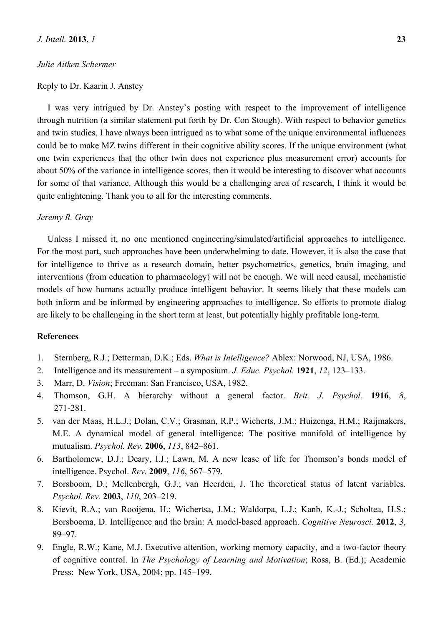## *Julie Aitken Schermer*

## Reply to Dr. Kaarin J. Anstey

I was very intrigued by Dr. Anstey's posting with respect to the improvement of intelligence through nutrition (a similar statement put forth by Dr. Con Stough). With respect to behavior genetics and twin studies, I have always been intrigued as to what some of the unique environmental influences could be to make MZ twins different in their cognitive ability scores. If the unique environment (what one twin experiences that the other twin does not experience plus measurement error) accounts for about 50% of the variance in intelligence scores, then it would be interesting to discover what accounts for some of that variance. Although this would be a challenging area of research, I think it would be quite enlightening. Thank you to all for the interesting comments.

## *Jeremy R. Gray*

Unless I missed it, no one mentioned engineering/simulated/artificial approaches to intelligence. For the most part, such approaches have been underwhelming to date. However, it is also the case that for intelligence to thrive as a research domain, better psychometrics, genetics, brain imaging, and interventions (from education to pharmacology) will not be enough. We will need causal, mechanistic models of how humans actually produce intelligent behavior. It seems likely that these models can both inform and be informed by engineering approaches to intelligence. So efforts to promote dialog are likely to be challenging in the short term at least, but potentially highly profitable long-term.

# **References**

- 1. Sternberg, R.J.; Detterman, D.K.; Eds. *What is Intelligence?* Ablex: Norwood, NJ, USA, 1986.
- 2. Intelligence and its measurement a symposium. *J. Educ. Psychol.* **1921**, *12*, 123–133.
- 3. Marr, D. *Vision*; Freeman: San Francisco, USA, 1982.
- 4. Thomson, G.H. A hierarchy without a general factor. *Brit. J. Psychol.* **1916**, *8*, 271-281.
- 5. van der Maas, H.L.J.; Dolan, C.V.; Grasman, R.P.; Wicherts, J.M.; Huizenga, H.M.; Raijmakers, M.E. A dynamical model of general intelligence: The positive manifold of intelligence by mutualism. *Psychol. Rev.* **2006**, *113*, 842–861.
- 6. Bartholomew, D.J.; Deary, I.J.; Lawn, M. A new lease of life for Thomson's bonds model of intelligence. Psychol. *Rev.* **2009**, *116*, 567–579.
- 7. Borsboom, D.; Mellenbergh, G.J.; van Heerden, J. The theoretical status of latent variables. *Psychol. Rev.* **2003**, *110*, 203–219.
- 8. Kievit, R.A.; van Rooijena, H.; Wichertsa, J.M.; Waldorpa, L.J.; Kanb, K.-J.; Scholtea, H.S.; Borsbooma, D. Intelligence and the brain: A model-based approach. *Cognitive Neurosci.* **2012**, *3*, 89–97.
- 9. Engle, R.W.; Kane, M.J. Executive attention, working memory capacity, and a two-factor theory of cognitive control. In *The Psychology of Learning and Motivation*; Ross, B. (Ed.); Academic Press: New York, USA, 2004; pp. 145–199.